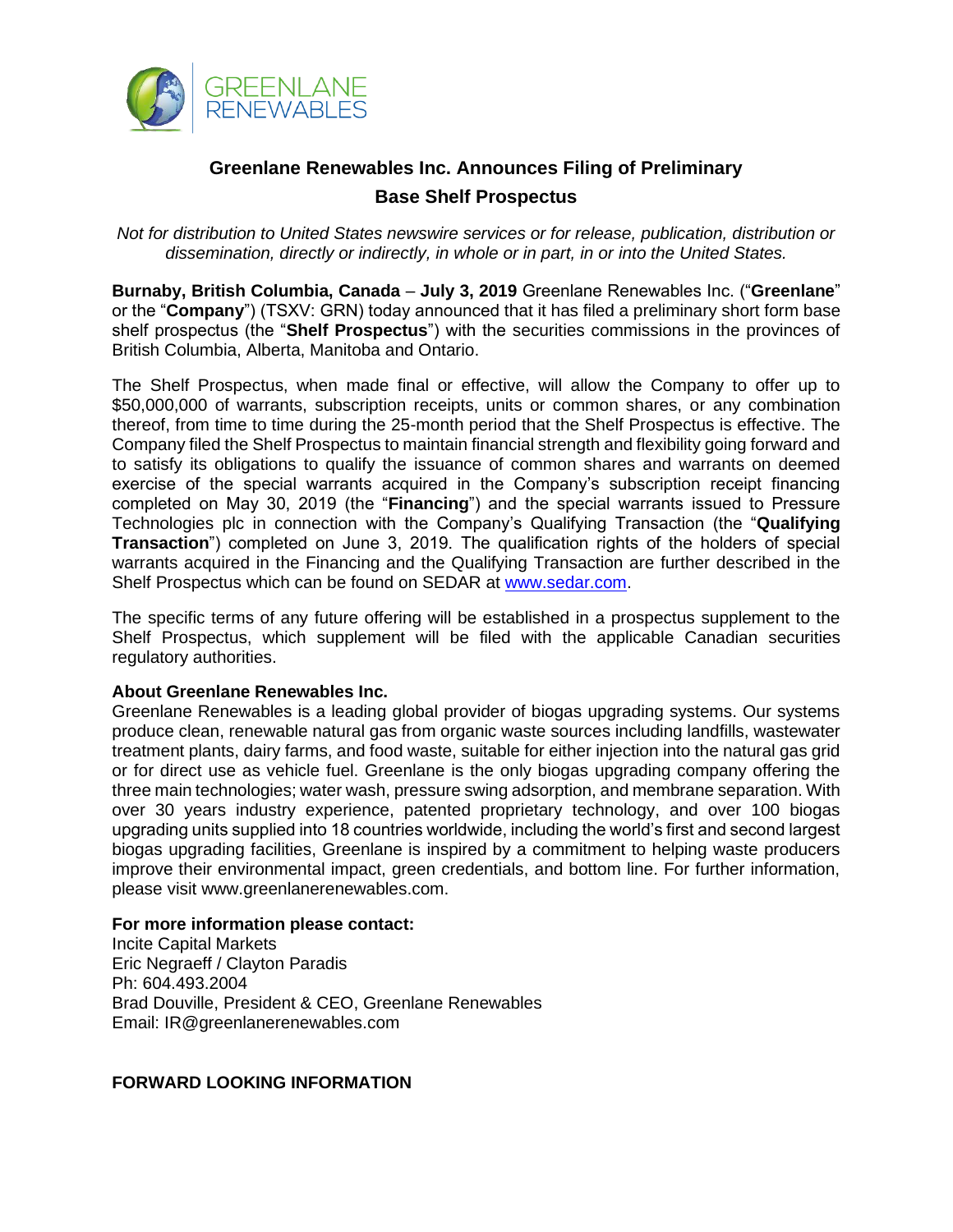

## **Greenlane Renewables Inc. Announces Filing of Preliminary Base Shelf Prospectus**

*Not for distribution to United States newswire services or for release, publication, distribution or dissemination, directly or indirectly, in whole or in part, in or into the United States.*

**Burnaby, British Columbia, Canada** – **July 3, 2019** Greenlane Renewables Inc. ("**Greenlane**" or the "**Company**") (TSXV: GRN) today announced that it has filed a preliminary short form base shelf prospectus (the "**Shelf Prospectus**") with the securities commissions in the provinces of British Columbia, Alberta, Manitoba and Ontario.

The Shelf Prospectus, when made final or effective, will allow the Company to offer up to \$50,000,000 of warrants, subscription receipts, units or common shares, or any combination thereof, from time to time during the 25-month period that the Shelf Prospectus is effective. The Company filed the Shelf Prospectus to maintain financial strength and flexibility going forward and to satisfy its obligations to qualify the issuance of common shares and warrants on deemed exercise of the special warrants acquired in the Company's subscription receipt financing completed on May 30, 2019 (the "**Financing**") and the special warrants issued to Pressure Technologies plc in connection with the Company's Qualifying Transaction (the "**Qualifying Transaction**") completed on June 3, 2019. The qualification rights of the holders of special warrants acquired in the Financing and the Qualifying Transaction are further described in the Shelf Prospectus which can be found on SEDAR at [www.sedar.com.](http://www.sedar.com/)

The specific terms of any future offering will be established in a prospectus supplement to the Shelf Prospectus, which supplement will be filed with the applicable Canadian securities regulatory authorities.

## **About Greenlane Renewables Inc.**

Greenlane Renewables is a leading global provider of biogas upgrading systems. Our systems produce clean, renewable natural gas from organic waste sources including landfills, wastewater treatment plants, dairy farms, and food waste, suitable for either injection into the natural gas grid or for direct use as vehicle fuel. Greenlane is the only biogas upgrading company offering the three main technologies; water wash, pressure swing adsorption, and membrane separation. With over 30 years industry experience, patented proprietary technology, and over 100 biogas upgrading units supplied into 18 countries worldwide, including the world's first and second largest biogas upgrading facilities, Greenlane is inspired by a commitment to helping waste producers improve their environmental impact, green credentials, and bottom line. For further information, please visit www.greenlanerenewables.com.

## **For more information please contact:**

Incite Capital Markets Eric Negraeff / Clayton Paradis Ph: 604.493.2004 Brad Douville, President & CEO, Greenlane Renewables Email: IR@greenlanerenewables.com

## **FORWARD LOOKING INFORMATION**